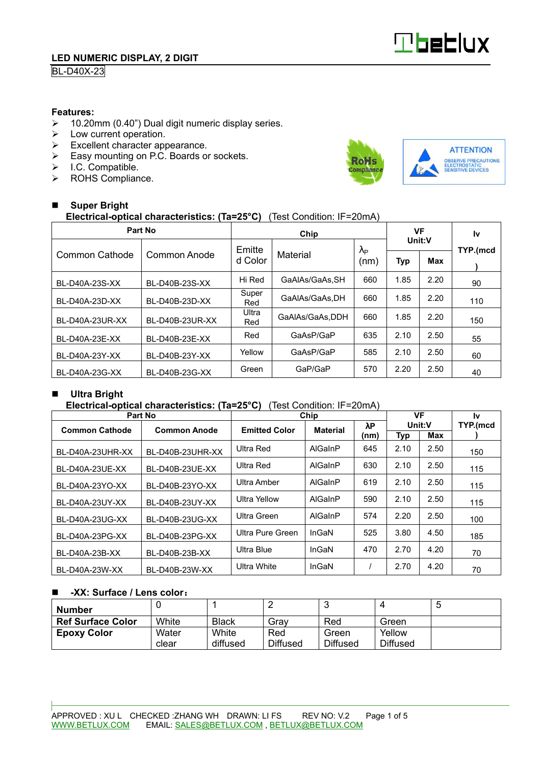

# **BL-D40X-23**

### **Features:**

- ▶ 10.20mm (0.40") Dual digit numeric display series. <math display="inline">\triangleright</math> Low current operation.
- Low current operation.
- $\triangleright$  Excellent character appearance.
- Easy mounting on P.C. Boards or sockets.
- $\triangleright$  I.C. Compatible.
- > ROHS Compliance.



#### - **Super Bright Electrical-optical characteristics: (Ta=25°C)** (Test Condition: IF=20mA)

| Part No         |                 |                     | VF              |                        | l٧     |      |          |  |
|-----------------|-----------------|---------------------|-----------------|------------------------|--------|------|----------|--|
|                 |                 | Emitte              |                 | $\lambda_{\mathsf{P}}$ | Unit:V |      | TYP.(mcd |  |
| Common Cathode  | Common Anode    | Material<br>d Color |                 | (nm)                   | Typ    | Max  |          |  |
| BL-D40A-23S-XX  | BL-D40B-23S-XX  | Hi Red              | GaAlAs/GaAs.SH  | 660                    | 1.85   | 2.20 | 90       |  |
| BL-D40A-23D-XX  | BL-D40B-23D-XX  | Super<br>Red        | GaAIAs/GaAs.DH  |                        | 1.85   | 2.20 | 110      |  |
| BL-D40A-23UR-XX | BL-D40B-23UR-XX | Ultra<br>Red        | GaAlAs/GaAs,DDH | 660                    | 1.85   | 2.20 | 150      |  |
| BL-D40A-23E-XX  | BL-D40B-23E-XX  | Red                 | GaAsP/GaP       | 635                    | 2.10   | 2.50 | 55       |  |
| BL-D40A-23Y-XX  | BL-D40B-23Y-XX  | Yellow              | GaAsP/GaP       | 585                    | 2.10   | 2.50 | 60       |  |
| BL-D40A-23G-XX  | BL-D40B-23G-XX  | Green               | GaP/GaP         | 570                    | 2.20   | 2.50 | 40       |  |

#### -**Ultra Bright**

### **Electrical-optical characteristics: (Ta=25°C)** (Test Condition: IF=20mA)

| Part No               |                     | Chip                 | VF              |             | 1v     |      |          |
|-----------------------|---------------------|----------------------|-----------------|-------------|--------|------|----------|
| <b>Common Cathode</b> | <b>Common Anode</b> | <b>Emitted Color</b> | <b>Material</b> | $\lambda$ P | Unit:V |      | TYP.(mcd |
|                       |                     |                      |                 | (nm)        | Typ    | Max  |          |
| BL-D40A-23UHR-XX      | BL-D40B-23UHR-XX    | Ultra Red            | AlGaInP         | 645         | 2.10   | 2.50 | 150      |
| BL-D40A-23UE-XX       | BL-D40B-23UE-XX     | Ultra Red            | AlGaInP         | 630         | 2.10   | 2.50 | 115      |
| BL-D40A-23YO-XX       | BL-D40B-23YO-XX     | Ultra Amber          | AlGaInP         | 619         | 2.10   | 2.50 | 115      |
| BL-D40A-23UY-XX       | BL-D40B-23UY-XX     | Ultra Yellow         | AlGaInP         | 590         | 2.10   | 2.50 | 115      |
| BL-D40A-23UG-XX       | BL-D40B-23UG-XX     | Ultra Green          | AlGaInP         | 574         | 2.20   | 2.50 | 100      |
| BL-D40A-23PG-XX       | BL-D40B-23PG-XX     | Ultra Pure Green     | InGaN           | 525         | 3.80   | 4.50 | 185      |
| BL-D40A-23B-XX        | BL-D40B-23B-XX      | Ultra Blue           | InGaN           | 470         | 2.70   | 4.20 | 70       |
| BL-D40A-23W-XX        | BL-D40B-23W-XX      | Ultra White          | InGaN           |             | 2.70   | 4.20 | 70       |

#### -**-XX: Surface / Lens color**:

| Number                   |                |                   |                        |                          |                           | IJ |
|--------------------------|----------------|-------------------|------------------------|--------------------------|---------------------------|----|
| <b>Ref Surface Color</b> | White          | <b>Black</b>      | Grav                   | Red                      | Green                     |    |
| <b>Epoxy Color</b>       | Water<br>clear | White<br>diffused | Red<br><b>Diffused</b> | Green<br><b>Diffused</b> | Yellow<br><b>Diffused</b> |    |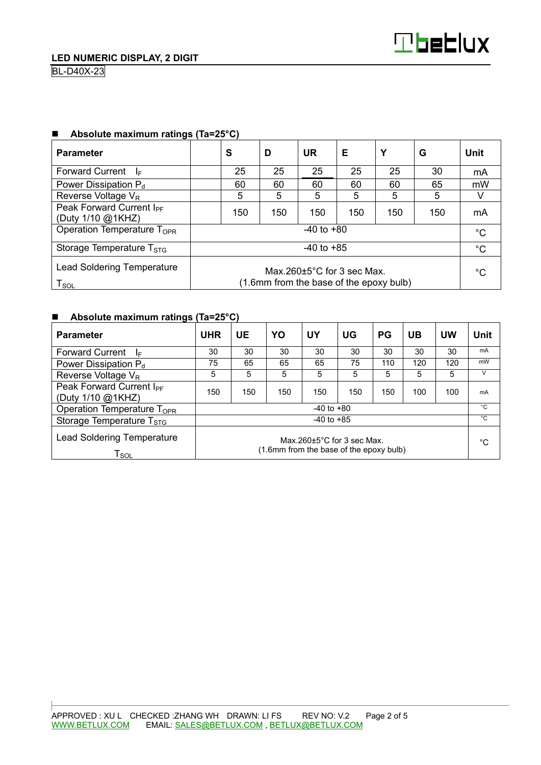| <b>Parameter</b>                                                                                                                                    | S              | D   | <b>UR</b> | Е   | Υ   | G   | Unit |  |
|-----------------------------------------------------------------------------------------------------------------------------------------------------|----------------|-----|-----------|-----|-----|-----|------|--|
| <b>Forward Current</b><br>-le                                                                                                                       | 25             | 25  | 25        | 25  | 25  | 30  | mA   |  |
| Power Dissipation $P_d$                                                                                                                             | 60             | 60  | 60        | 60  | 60  | 65  | mW   |  |
| Reverse Voltage V <sub>R</sub>                                                                                                                      | 5              | 5   | 5         | 5   | 5   | 5   |      |  |
| Peak Forward Current I <sub>PF</sub><br>(Duty 1/10 @1KHZ)                                                                                           | 150            | 150 | 150       | 150 | 150 | 150 | mA   |  |
| Operation Temperature T <sub>OPR</sub>                                                                                                              | $-40$ to $+80$ |     |           |     |     |     |      |  |
| Storage Temperature $T_{STG}$                                                                                                                       | $-40$ to $+85$ |     |           |     |     |     |      |  |
| <b>Lead Soldering Temperature</b><br>Max $260+5^{\circ}$ C for 3 sec Max.<br>(1.6mm from the base of the epoxy bulb)<br>$\mathsf{T}_{\mathsf{SOL}}$ |                |     |           |     |     | °C  |      |  |

## ■ Absolute maximum ratings (Ta=25°C)

## ■ Absolute maximum ratings (Ta=25°C)

| <b>Parameter</b>                                                                                                                                    | <b>UHR</b>     | UE  | YO  | UY  | UG  | <b>PG</b> | UB  | UW  | <b>Unit</b>  |
|-----------------------------------------------------------------------------------------------------------------------------------------------------|----------------|-----|-----|-----|-----|-----------|-----|-----|--------------|
| <b>Forward Current</b><br>₫E                                                                                                                        | 30             | 30  | 30  | 30  | 30  | 30        | 30  | 30  | mA           |
| Power Dissipation P <sub>d</sub>                                                                                                                    | 75             | 65  | 65  | 65  | 75  | 110       | 120 | 120 | mW           |
| Reverse Voltage V <sub>R</sub>                                                                                                                      | 5              | 5   | 5   | 5   | 5   | 5         | 5   | 5   | V            |
| Peak Forward Current I <sub>PF</sub><br>(Duty 1/10 @1KHZ)                                                                                           | 150            | 150 | 150 | 150 | 150 | 150       | 100 | 100 | mA           |
| Operation Temperature T <sub>OPR</sub>                                                                                                              | $-40$ to $+80$ |     |     |     |     |           |     |     | $^{\circ}$ C |
| Storage Temperature $T_{STG}$                                                                                                                       | $-40$ to $+85$ |     |     |     |     |           |     |     | °C           |
| <b>Lead Soldering Temperature</b><br>Max $260+5^{\circ}$ C for 3 sec Max.<br>(1.6mm from the base of the epoxy bulb)<br>$\mathsf{T}_{\mathsf{SOL}}$ |                |     |     |     |     |           | °C  |     |              |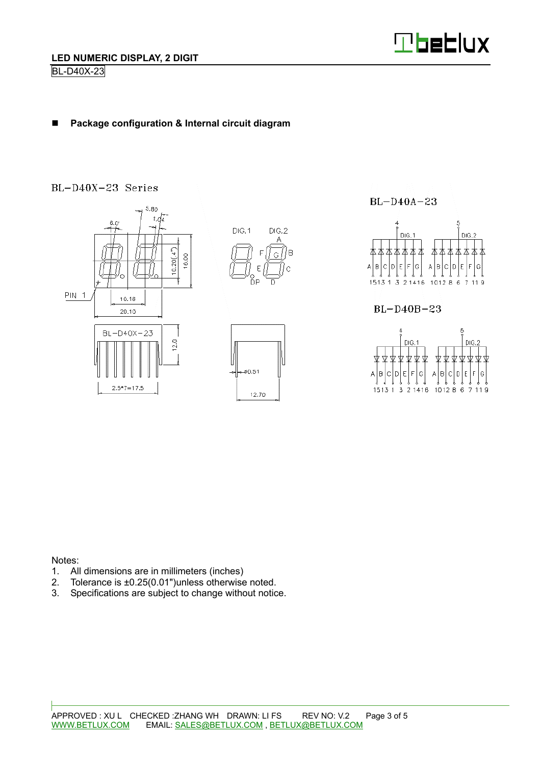

#### -**Package configuration & Internal circuit diagram**

# BL-D40X-23 Series



 $BL-D40A-23$ 



Notes:

- 1. All dimensions are in millimeters (inches)
- 2. Tolerance is ±0.25(0.01")unless otherwise noted.
- 3. Specifications are subject to change without notice.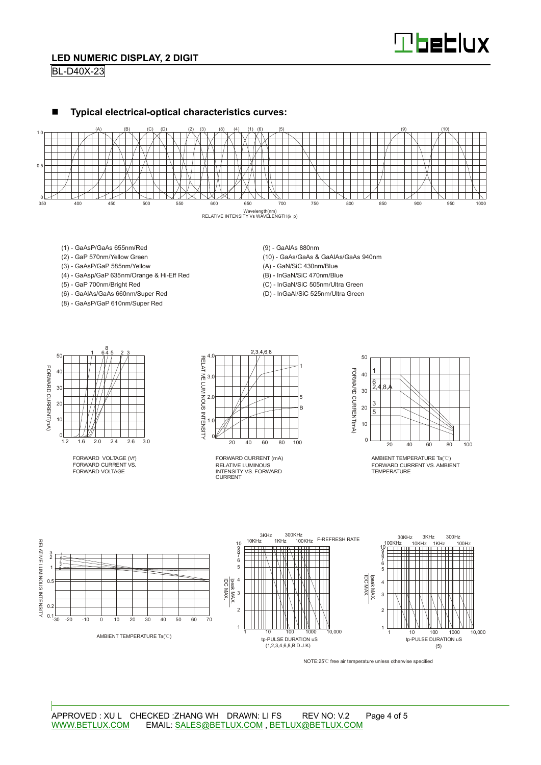

## **LED NUMERIC DISPLAY, 2 DIGIT**

BL-D40X-23





- (1) GaAsP/GaAs 655nm/Red
- (2) GaP 570nm/Yellow Green
- (3) GaAsP/GaP 585nm/Yellow
- (4) GaAsp/GaP 635nm/Orange & Hi-Eff Red
- (5) GaP 700nm/Bright Red
- (6) GaAlAs/GaAs 660nm/Super Red
- (8) GaAsP/GaP 610nm/Super Red

(9) - GaAlAs 880nm

- (10) GaAs/GaAs & GaAlAs/GaAs 940nm
- (A) GaN/SiC 430nm/Blue
- (B) InGaN/SiC 470nm/Blue
- (C) InGaN/SiC 505nm/Ultra Green
- (D) InGaAl/SiC 525nm/Ultra Green



FORWARD VOLTAGE (Vf) FORWARD CURRENT VS. FORWARD VOLTAGE



RELATIVE LUMINOUS INTENSITY VS. FORWARD CURRENT FORWARD CURRENT (mA)



AMBIENT TEMPERATURE Ta(℃) FORWARD CURRENT VS. AMBIENT TEMPERATURE



NOTE:25℃ free air temperature unless otherwise specified